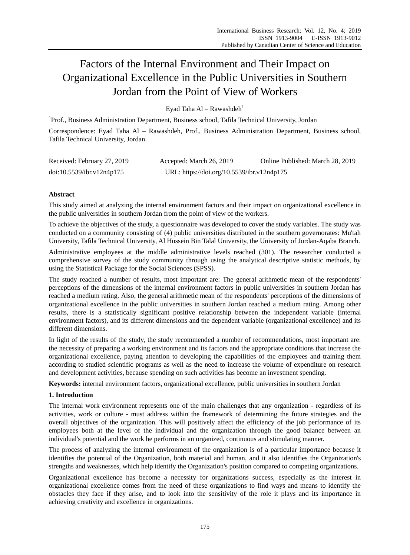# Factors of the Internal Environment and Their Impact on Organizational Excellence in the Public Universities in Southern Jordan from the Point of View of Workers

Eyad Taha Al – Rawashdeh<sup>1</sup>

<sup>1</sup>Prof., Business Administration Department, Business school, Tafila Technical University, Jordan Correspondence: Eyad Taha Al – Rawashdeh, Prof., Business Administration Department, Business school, Tafila Technical University, Jordan.

| Received: February 27, 2019 | Accepted: March 26, 2019                   | Online Published: March 28, 2019 |
|-----------------------------|--------------------------------------------|----------------------------------|
| doi:10.5539/ibr.v12n4p175   | URL: https://doi.org/10.5539/ibr.v12n4p175 |                                  |

# **Abstract**

This study aimed at analyzing the internal environment factors and their impact on organizational excellence in the public universities in southern Jordan from the point of view of the workers.

To achieve the objectives of the study, a questionnaire was developed to cover the study variables. The study was conducted on a community consisting of (4) public universities distributed in the southern governorates: Mu'tah University, Tafila Technical University, Al Hussein Bin Talal University, the University of Jordan-Aqaba Branch.

Administrative employees at the middle administrative levels reached (301). The researcher conducted a comprehensive survey of the study community through using the analytical descriptive statistic methods, by using the Statistical Package for the Social Sciences (SPSS).

The study reached a number of results, most important are: The general arithmetic mean of the respondents' perceptions of the dimensions of the internal environment factors in public universities in southern Jordan has reached a medium rating. Also, the general arithmetic mean of the respondents' perceptions of the dimensions of organizational excellence in the public universities in southern Jordan reached a medium rating. Among other results, there is a statistically significant positive relationship between the independent variable (internal environment factors), and its different dimensions and the dependent variable (organizational excellence) and its different dimensions.

In light of the results of the study, the study recommended a number of recommendations, most important are: the necessity of preparing a working environment and its factors and the appropriate conditions that increase the organizational excellence, paying attention to developing the capabilities of the employees and training them according to studied scientific programs as well as the need to increase the volume of expenditure on research and development activities, because spending on such activities has become an investment spending.

**Keywords:** internal environment factors, organizational excellence, public universities in southern Jordan

## **1. Introduction**

The internal work environment represents one of the main challenges that any organization - regardless of its activities, work or culture - must address within the framework of determining the future strategies and the overall objectives of the organization. This will positively affect the efficiency of the job performance of its employees both at the level of the individual and the organization through the good balance between an individual's potential and the work he performs in an organized, continuous and stimulating manner.

The process of analyzing the internal environment of the organization is of a particular importance because it identifies the potential of the Organization, both material and human, and it also identifies the Organization's strengths and weaknesses, which help identify the Organization's position compared to competing organizations.

Organizational excellence has become a necessity for organizations success, especially as the interest in organizational excellence comes from the need of these organizations to find ways and means to identify the obstacles they face if they arise, and to look into the sensitivity of the role it plays and its importance in achieving creativity and excellence in organizations.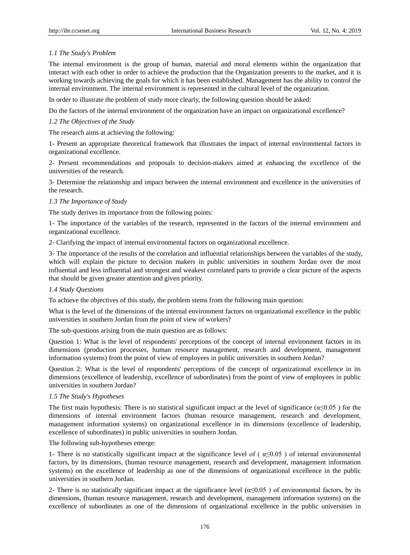## *1.1 The Study's Problem*

The internal environment is the group of human, material and moral elements within the organization that interact with each other in order to achieve the production that the Organization presents to the market, and it is working towards achieving the goals for which it has been established. Management has the ability to control the internal environment. The internal environment is represented in the cultural level of the organization.

In order to illustrate the problem of study more clearly, the following question should be asked:

Do the factors of the internal environment of the organization have an impact on organizational excellence?

## *1.2 The Objectives of the Study*

The research aims at achieving the following:

1- Present an appropriate theoretical framework that illustrates the impact of internal environmental factors in organizational excellence.

2- Present recommendations and proposals to decision-makers aimed at enhancing the excellence of the universities of the research.

3- Determine the relationship and impact between the internal environment and excellence in the universities of the research.

#### *1.3 The Importance of Study*

The study derives its importance from the following points:

1- The importance of the variables of the research, represented in the factors of the internal environment and organizational excellence.

2- Clarifying the impact of internal environmental factors on organizational excellence.

3- The importance of the results of the correlation and influential relationships between the variables of the study, which will explain the picture to decision makers in public universities in southern Jordan over the most influential and less influential and strongest and weakest correlated parts to provide a clear picture of the aspects that should be given greater attention and given priority.

## *1.4 Study Questions*

To achieve the objectives of this study, the problem stems from the following main question:

What is the level of the dimensions of the internal environment factors on organizational excellence in the public universities in southern Jordan from the point of view of workers?

The sub-questions arising from the main question are as follows:

Question 1: What is the level of respondents' perceptions of the concept of internal environment factors in its dimensions (production processes, human resource management, research and development, management information systems) from the point of view of employees in public universities in southern Jordan?

Question 2: What is the level of respondents' perceptions of the concept of organizational excellence in its dimensions (excellence of leadership, excellence of subordinates) from the point of view of employees in public universities in southern Jordan?

## *1.5 The Study's Hypotheses*

The first main hypothesis: There is no statistical significant impact at the level of significance ( $\alpha \le 0.05$ ) for the dimensions of internal environment factors (human resource management, research and development, management information systems) on organizational excellence in its dimensions (excellence of leadership, excellence of subordinates) in public universities in southern Jordan.

The following sub-hypotheses emerge:

1- There is no statistically significant impact at the significance level of ( $\alpha \le 0.05$ ) of internal environmental factors, by its dimensions, (human resource management, research and development, management information systems) on the excellence of leadership as one of the dimensions of organizational excellence in the public universities in southern Jordan.

2- There is no statistically significant impact at the significance level  $(\alpha \le 0.05)$  of environmental factors, by its dimensions, (human resource management, research and development, management information systems) on the excellence of subordinates as one of the dimensions of organizational excellence in the public universities in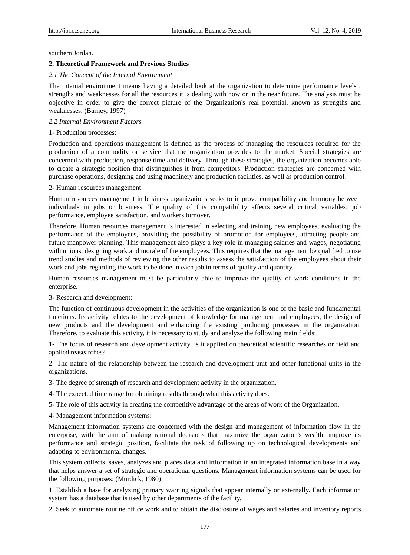southern Jordan.

#### **2. Theoretical Framework and Previous Studies**

#### *2.1 The Concept of the Internal Environment*

The internal environment means having a detailed look at the organization to determine performance levels , strengths and weaknesses for all the resources it is dealing with now or in the near future. The analysis must be objective in order to give the correct picture of the Organization's real potential, known as strengths and weaknesses. (Barney, 1997)

#### *2.2 Internal Environment Factors*

#### 1- Production processes:

Production and operations management is defined as the process of managing the resources required for the production of a commodity or service that the organization provides to the market. Special strategies are concerned with production, response time and delivery. Through these strategies, the organization becomes able to create a strategic position that distinguishes it from competitors. Production strategies are concerned with purchase operations, designing and using machinery and production facilities, as well as production control.

#### 2- Human resources management:

Human resources management in business organizations seeks to improve compatibility and harmony between individuals in jobs or business. The quality of this compatibility affects several critical variables: job performance, employee satisfaction, and workers turnover.

Therefore, Human resources management is interested in selecting and training new employees, evaluating the performance of the employees, providing the possibility of promotion for employees, attracting people and future manpower planning. This management also plays a key role in managing salaries and wages, negotiating with unions, designing work and morale of the employees. This requires that the management be qualified to use trend studies and methods of reviewing the other results to assess the satisfaction of the employees about their work and jobs regarding the work to be done in each job in terms of quality and quantity.

Human resources management must be particularly able to improve the quality of work conditions in the enterprise.

3- Research and development:

The function of continuous development in the activities of the organization is one of the basic and fundamental functions. Its activity relates to the development of knowledge for management and employees, the design of new products and the development and enhancing the existing producing processes in the organization. Therefore, to evaluate this activity, it is necessary to study and analyze the following main fields:

1- The focus of research and development activity, is it applied on theoretical scientific researches or field and applied reasearches?

2- The nature of the relationship between the research and development unit and other functional units in the organizations.

3- The degree of strength of research and development activity in the organization.

4- The expected time range for obtaining results through what this activity does.

5- The role of this activity in creating the competitive advantage of the areas of work of the Organization.

4- Management information systems:

Management information systems are concerned with the design and management of information flow in the enterprise, with the aim of making rational decisions that maximize the organization's wealth, improve its performance and strategic position, facilitate the task of following up on technological developments and adapting to environmental changes.

This system collects, saves, analyzes and places data and information in an integrated information base in a way that helps answer a set of strategic and operational questions. Management information systems can be used for the following purposes: (Murdick, 1980)

1. Establish a base for analyzing primary warning signals that appear internally or externally. Each information system has a database that is used by other departments of the facility.

2. Seek to automate routine office work and to obtain the disclosure of wages and salaries and inventory reports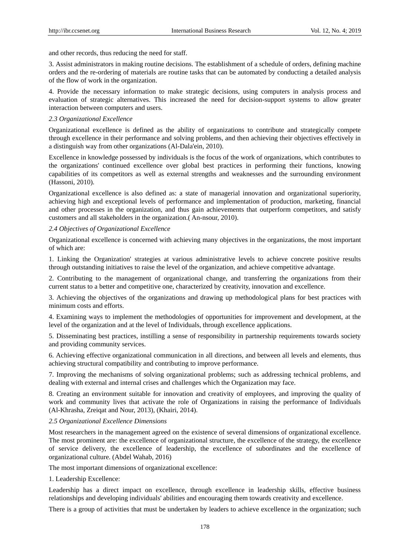and other records, thus reducing the need for staff.

3. Assist administrators in making routine decisions. The establishment of a schedule of orders, defining machine orders and the re-ordering of materials are routine tasks that can be automated by conducting a detailed analysis of the flow of work in the organization.

4. Provide the necessary information to make strategic decisions, using computers in analysis process and evaluation of strategic alternatives. This increased the need for decision-support systems to allow greater interaction between computers and users.

#### *2.3 Organizational Excellence*

Organizational excellence is defined as the ability of organizations to contribute and strategically compete through excellence in their performance and solving problems, and then achieving their objectives effectively in a distinguish way from other organizations (Al-Dala'ein, 2010).

Excellence in knowledge possessed by individuals is the focus of the work of organizations, which contributes to the organizations' continued excellence over global best practices in performing their functions, knowing capabilities of its competitors as well as external strengths and weaknesses and the surrounding environment (Hassoni, 2010).

Organizational excellence is also defined as: a state of managerial innovation and organizational superiority, achieving high and exceptional levels of performance and implementation of production, marketing, financial and other processes in the organization, and thus gain achievements that outperform competitors, and satisfy customers and all stakeholders in the organization.( An-nsour, 2010).

#### *2.4 Objectives of Organizational Excellence*

Organizational excellence is concerned with achieving many objectives in the organizations, the most important of which are:

1. Linking the Organization' strategies at various administrative levels to achieve concrete positive results through outstanding initiatives to raise the level of the organization, and achieve competitive advantage.

2. Contributing to the management of organizational change, and transferring the organizations from their current status to a better and competitive one, characterized by creativity, innovation and excellence.

3. Achieving the objectives of the organizations and drawing up methodological plans for best practices with minimum costs and efforts.

4. Examining ways to implement the methodologies of opportunities for improvement and development, at the level of the organization and at the level of Individuals, through excellence applications.

5. Disseminating best practices, instilling a sense of responsibility in partnership requirements towards society and providing community services.

6. Achieving effective organizational communication in all directions, and between all levels and elements, thus achieving structural compatibility and contributing to improve performance.

7. Improving the mechanisms of solving organizational problems; such as addressing technical problems, and dealing with external and internal crises and challenges which the Organization may face.

8. Creating an environment suitable for innovation and creativity of employees, and improving the quality of work and community lives that activate the role of Organizations in raising the performance of Individuals (Al-Khrasha, Zreiqat and Nour, 2013), (Khairi, 2014).

#### *2.5 Organizational Excellence Dimensions*

Most researchers in the management agreed on the existence of several dimensions of organizational excellence. The most prominent are: the excellence of organizational structure, the excellence of the strategy, the excellence of service delivery, the excellence of leadership, the excellence of subordinates and the excellence of organizational culture. (Abdel Wahab, 2016)

The most important dimensions of organizational excellence:

### 1. Leadership Excellence:

Leadership has a direct impact on excellence, through excellence in leadership skills, effective business relationships and developing individuals' abilities and encouraging them towards creativity and excellence.

There is a group of activities that must be undertaken by leaders to achieve excellence in the organization; such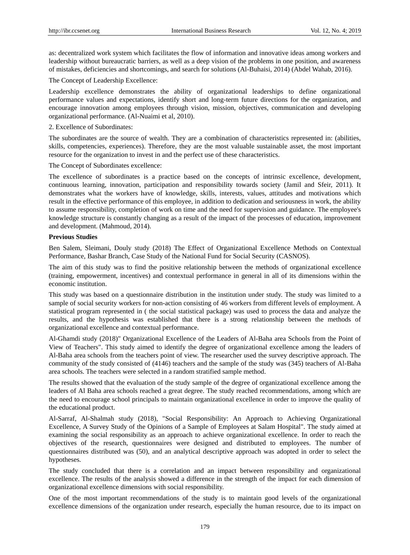as: decentralized work system which facilitates the flow of information and innovative ideas among workers and leadership without bureaucratic barriers, as well as a deep vision of the problems in one position, and awareness of mistakes, deficiencies and shortcomings, and search for solutions (Al-Buhaisi, 2014) (Abdel Wahab, 2016).

The Concept of Leadership Excellence:

Leadership excellence demonstrates the ability of organizational leaderships to define organizational performance values and expectations, identify short and long-term future directions for the organization, and encourage innovation among employees through vision, mission, objectives, communication and developing organizational performance. (Al-Nuaimi et al, 2010).

2. Excellence of Subordinates:

The subordinates are the source of wealth. They are a combination of characteristics represented in: (abilities, skills, competencies, experiences). Therefore, they are the most valuable sustainable asset, the most important resource for the organization to invest in and the perfect use of these characteristics.

The Concept of Subordinates excellence:

The excellence of subordinates is a practice based on the concepts of intrinsic excellence, development, continuous learning, innovation, participation and responsibility towards society (Jamil and Sfeir, 2011). It demonstrates what the workers have of knowledge, skills, interests, values, attitudes and motivations which result in the effective performance of this employee, in addition to dedication and seriousness in work, the ability to assume responsibility, completion of work on time and the need for supervision and guidance. The employee's knowledge structure is constantly changing as a result of the impact of the processes of education, improvement and development. (Mahmoud, 2014).

#### **Previous Studies**

Ben Salem, Sleimani, Douly study (2018) The Effect of Organizational Excellence Methods on Contextual Performance, Bashar Branch, Case Study of the National Fund for Social Security (CASNOS).

The aim of this study was to find the positive relationship between the methods of organizational excellence (training, empowerment, incentives) and contextual performance in general in all of its dimensions within the economic institution.

This study was based on a questionnaire distribution in the institution under study. The study was limited to a sample of social security workers for non-action consisting of 46 workers from different levels of employment. A statistical program represented in ( the social statistical package) was used to process the data and analyze the results, and the hypothesis was established that there is a strong relationship between the methods of organizational excellence and contextual performance.

Al-Ghamdi study (2018)" Organizational Excellence of the Leaders of Al-Baha area Schools from the Point of View of Teachers". This study aimed to identify the degree of organizational excellence among the leaders of Al-Baha area schools from the teachers point of view. The researcher used the survey descriptive approach. The community of the study consisted of (4146) teachers and the sample of the study was (345) teachers of Al-Baha area schools. The teachers were selected in a random stratified sample method.

The results showed that the evaluation of the study sample of the degree of organizational excellence among the leaders of Al Baha area schools reached a great degree. The study reached recommendations, among which are the need to encourage school principals to maintain organizational excellence in order to improve the quality of the educational product.

Al-Sarraf, Al-Shalmah study (2018), "Social Responsibility: An Approach to Achieving Organizational Excellence, A Survey Study of the Opinions of a Sample of Employees at Salam Hospital". The study aimed at examining the social responsibility as an approach to achieve organizational excellence. In order to reach the objectives of the research, questionnaires were designed and distributed to employees. The number of questionnaires distributed was (50), and an analytical descriptive approach was adopted in order to select the hypotheses.

The study concluded that there is a correlation and an impact between responsibility and organizational excellence. The results of the analysis showed a difference in the strength of the impact for each dimension of organizational excellence dimensions with social responsibility.

One of the most important recommendations of the study is to maintain good levels of the organizational excellence dimensions of the organization under research, especially the human resource, due to its impact on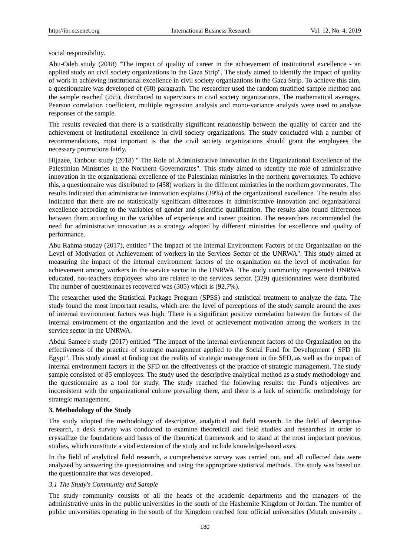social responsibility.

Abu-Odeh study (2018) "The impact of quality of career in the achievement of institutional excellence - an applied study on civil society organizations in the Gaza Strip". The study aimed to identify the impact of quality of work in achieving institutional excellence in civil society organizations in the Gaza Strip. To achieve this aim, a questionnaire was developed of (60) paragraph. The researcher used the random stratified sample method and the sample reached (255), distributed to supervisors in civil society organizations. The mathematical averages, Pearson correlation coefficient, multiple regression analysis and mono-variance analysis were used to analyze responses of the sample.

The results revealed that there is a statistically significant relationship between the quality of career and the achievement of institutional excellence in civil society organizations. The study concluded with a number of recommendations, most important is that the civil society organizations should grant the employees the necessary promotions fairly.

Hijazee, Tanbour study (2018) " The Role of Administrative Innovation in the Organizational Excellence of the Palestinian Ministries in the Northern Governorates". This study aimed to identify the role of administrative innovation in the organizational excellence of the Palestinian ministries in the northern governorates. To achieve this, a questionnaire was distributed to (458) workers in the different ministries in the northern governorates. The results indicated that administrative innovation explains (39%) of the organizational excellence. The results also indicated that there are no statistically significant differences in administrative innovation and organizational excellence according to the variables of gender and scientific qualification. The results also found differences between them according to the variables of experience and career position. The researchers recommended the need for administrative innovation as a strategy adopted by different ministries for excellence and quality of performance.

Abu Rahma studay (2017), entitled "The Impact of the Internal Environment Factors of the Organization on the Level of Motivation of Achievement of workers in the Services Sector of the UNRWA". This study aimed at measuring the impact of the internal environment factors of the organization on the level of motivation for achievement among workers in the service sector in the UNRWA. The study community represented UNRWA educated, not-teachers employees who are related to the services sector. (329) questionnaires were distributed. The number of questionnaires recovered was (305) which is (92.7%).

The researcher used the Statistical Package Program (SPSS) and statistical treatment to analyze the data. The study found the most important results, which are: the level of perceptions of the study sample around the axes of internal environment factors was high. There is a significant positive correlation between the factors of the internal environment of the organization and the level of achievement motivation among the workers in the service sector in the UNRWA.

Abdul Samee'e study (2017) entitled "The impact of the internal environment factors of the Organization on the effectiveness of the practice of strategic management applied to the Social Fund for Development ( SFD )in Egypt". This study aimed at finding out the reality of strategic management in the SFD, as well as the impact of internal environment factors in the SFD on the effectiveness of the practice of strategic management. The study sample consisted of 85 employees. The study used the descriptive analytical method as a study methodology and the questionnaire as a tool for study. The study reached the following results: the Fund's objectives are inconsistent with the organizational culture prevailing there, and there is a lack of scientific methodology for strategic management.

## **3. Methodology of the Study**

The study adopted the methodology of descriptive, analytical and field research. In the field of descriptive research, a desk survey was conducted to examine theoretical and field studies and researches in order to crystallize the foundations and bases of the theoretical framework and to stand at the most important previous studies, which constitute a vital extension of the study and include knowledge-based axes.

In the field of analytical field research, a comprehensive survey was carried out, and all collected data were analyzed by answering the questionnaires and using the appropriate statistical methods. The study was based on the questionnaire that was developed.

#### *3.1 The Study's Community and Sample*

The study community consists of all the heads of the academic departments and the managers of the administrative units in the public universities in the south of the Hashemite Kingdom of Jordan. The number of public universities operating in the south of the Kingdom reached four official universities (Mutah university ,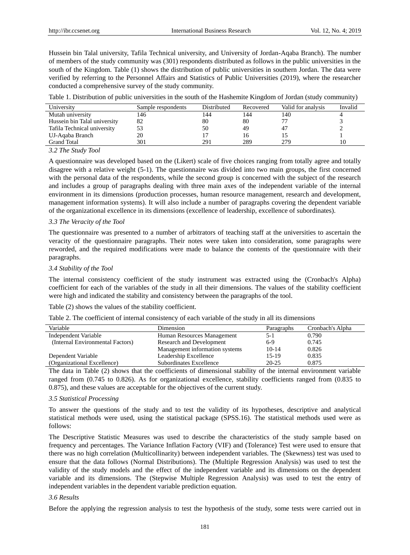Hussein bin Talal university, Tafila Technical university, and University of Jordan-Aqaba Branch). The number of members of the study community was (301) respondents distributed as follows in the public universities in the south of the Kingdom. Table (1) shows the distribution of public universities in southern Jordan. The data were verified by referring to the Personnel Affairs and Statistics of Public Universities (2019), where the researcher conducted a comprehensive survey of the study community.

| University                   | Sample respondents | Distributed | Recovered | Valid for analysis | Invalid |
|------------------------------|--------------------|-------------|-----------|--------------------|---------|
| Mutah university             | 146                | 144         | 144       | 140                |         |
| Hussein bin Talal university | 82                 | 80          | 80        | 77                 |         |
| Tafila Technical university  | 53                 | 50          | 49        | 47                 |         |
| UJ-Aqaba Branch              | 20                 |             | I6        |                    |         |
| <b>Grand Total</b>           | 301                | 291         | 289       | 279                |         |

#### *3.2 The Study Tool*

A questionnaire was developed based on the (Likert) scale of five choices ranging from totally agree and totally disagree with a relative weight (5-1). The questionnaire was divided into two main groups, the first concerned with the personal data of the respondents, while the second group is concerned with the subject of the research and includes a group of paragraphs dealing with three main axes of the independent variable of the internal environment in its dimensions (production processes, human resource management, research and development, management information systems). It will also include a number of paragraphs covering the dependent variable of the organizational excellence in its dimensions (excellence of leadership, excellence of subordinates).

#### *3.3 The Veracity of the Tool*

The questionnaire was presented to a number of arbitrators of teaching staff at the universities to ascertain the veracity of the questionnaire paragraphs. Their notes were taken into consideration, some paragraphs were reworded, and the required modifications were made to balance the contents of the questionnaire with their paragraphs.

#### *3.4 Stability of the Tool*

The internal consistency coefficient of the study instrument was extracted using the (Cronbach's Alpha) coefficient for each of the variables of the study in all their dimensions. The values of the stability coefficient were high and indicated the stability and consistency between the paragraphs of the tool.

Table (2) shows the values of the stability coefficient.

Table 2. The coefficient of internal consistency of each variable of the study in all its dimensions

| Variable                         | Dimension                      | Paragraphs | Cronbach's Alpha |
|----------------------------------|--------------------------------|------------|------------------|
| Independent Variable             | Human Resources Management     | 5-1        | 0.790            |
| (Internal Environmental Factors) | Research and Development       | $6-9$      | 0.745            |
|                                  | Management information systems | $10 - 14$  | 0.826            |
| Dependent Variable               | Leadership Excellence          | 15-19      | 0.835            |
| (Organizational Excellence)      | Subordinates Excellence        | $20 - 25$  | 0.875            |

The data in Table (2) shows that the coefficients of dimensional stability of the internal environment variable ranged from (0.745 to 0.826). As for organizational excellence, stability coefficients ranged from (0.835 to 0.875), and these values are acceptable for the objectives of the current study.

#### *3.5 Statistical Processing*

To answer the questions of the study and to test the validity of its hypotheses, descriptive and analytical statistical methods were used, using the statistical package (SPSS.16). The statistical methods used were as follows:

The Descriptive Statistic Measures was used to describe the characteristics of the study sample based on frequency and percentages. The Variance Inflation Factory (VIF) and (Tolerance) Test were used to ensure that there was no high correlation (Multicollinarity) between independent variables. The (Skewness) test was used to ensure that the data follows (Normal Distributions). The (Multiple Regression Analysis) was used to test the validity of the study models and the effect of the independent variable and its dimensions on the dependent variable and its dimensions. The (Stepwise Multiple Regression Analysis) was used to test the entry of independent variables in the dependent variable prediction equation.

#### *3.6 Results*

Before the applying the regression analysis to test the hypothesis of the study, some tests were carried out in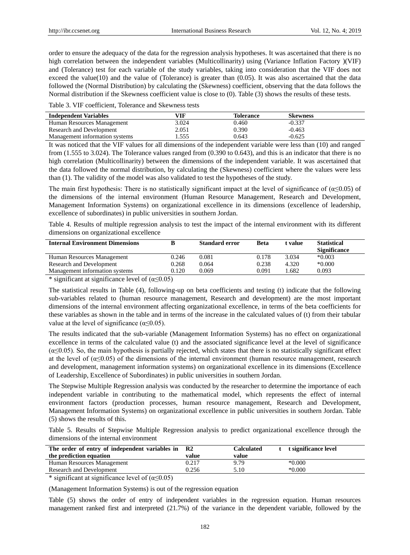order to ensure the adequacy of the data for the regression analysis hypotheses. It was ascertained that there is no high correlation between the independent variables (Multicollinarity) using (Variance Inflation Factory )(VIF) and (Tolerance) test for each variable of the study variables, taking into consideration that the VIF does not exceed the value(10) and the value of (Tolerance) is greater than  $(0.05)$ . It was also ascertained that the data followed the (Normal Distribution) by calculating the (Skewness) coefficient, observing that the data follows the Normal distribution if the Skewness coefficient value is close to (0). Table (3) shows the results of these tests.

Table 3. VIF coefficient, Tolerance and Skewness tests

| <b>Independent Variables</b>   | VIF   | <b>Tolerance</b> | <b>Skewness</b> |  |
|--------------------------------|-------|------------------|-----------------|--|
| Human Resources Management     | 3.024 | 0.460            | $-0.337$        |  |
| Research and Development       | 2.051 | 0.390            | $-0.463$        |  |
| Management information systems | .555  | 0.643            | $-0.625$        |  |

It was noticed that the VIF values for all dimensions of the independent variable were less than (10) and ranged from (1.555 to 3.024). The Tolerance values ranged from (0.390 to 0.643), and this is an indicator that there is no high correlation (Multicollinarity) between the dimensions of the independent variable. It was ascertained that the data followed the normal distribution, by calculating the (Skewness) coefficient where the values were less than (1). The validity of the model was also validated to test the hypotheses of the study.

The main first hypothesis: There is no statistically significant impact at the level of significance of ( $\alpha \le 0.05$ ) of the dimensions of the internal environment (Human Resource Management, Research and Development, Management Information Systems) on organizational excellence in its dimensions (excellence of leadership, excellence of subordinates) in public universities in southern Jordan.

Table 4. Results of multiple regression analysis to test the impact of the internal environment with its different dimensions on organizational excellence

| <b>Internal Environment Dimensions</b> |       | <b>Standard error</b> | <b>Beta</b> | t value | <b>Statistical</b><br><b>Significance</b> |
|----------------------------------------|-------|-----------------------|-------------|---------|-------------------------------------------|
| Human Resources Management             | 0.246 | 0.081                 | 0.178       | 3.034   | $*0.003$                                  |
| Research and Development               | 0.268 | 0.064                 | 0.238       | 4.320   | $*0.000$                                  |
| Management information systems         | 0.120 | 0.069                 | 0.091       | .682    | 0.093                                     |
|                                        |       |                       |             |         |                                           |

\* significant at significance level of  $(\alpha \le 0.05)$ 

The statistical results in Table (4), following-up on beta coefficients and testing (t) indicate that the following sub-variables related to (human resource management, Research and development) are the most important dimensions of the internal environment affecting organizational excellence, in terms of the beta coefficients for these variables as shown in the table and in terms of the increase in the calculated values of (t) from their tabular value at the level of significance ( $\alpha \le 0.05$ ).

The results indicated that the sub-variable (Management Information Systems) has no effect on organizational excellence in terms of the calculated value (t) and the associated significance level at the level of significance  $(\alpha \leq 0.05)$ . So, the main hypothesis is partially rejected, which states that there is no statistically significant effect at the level of ( $\alpha \le 0.05$ ) of the dimensions of the internal environment (human resource management, research and development, management information systems) on organizational excellence in its dimensions (Excellence of Leadership, Excellence of Subordinates) in public universities in southern Jordan.

The Stepwise Multiple Regression analysis was conducted by the researcher to determine the importance of each independent variable in contributing to the mathematical model, which represents the effect of internal environment factors (production processes, human resource management, Research and Development, Management Information Systems) on organizational excellence in public universities in southern Jordan. Table (5) shows the results of this.

Table 5. Results of Stepwise Multiple Regression analysis to predict organizational excellence through the dimensions of the internal environment

| The order of entry of independent variables in R2<br>the prediction equation | value | <b>Calculated</b><br>value | t significance level |
|------------------------------------------------------------------------------|-------|----------------------------|----------------------|
| Human Resources Management                                                   | 0.217 | 9.79                       | $*0.000$             |
| Research and Development                                                     | 0.256 | 5.10                       | $*0.000$             |
|                                                                              |       |                            |                      |

\* significant at significance level of  $(\alpha \le 0.05)$ 

(Management Information Systems) is out of the regression equation

Table (5) shows the order of entry of independent variables in the regression equation. Human resources management ranked first and interpreted (21.7%) of the variance in the dependent variable, followed by the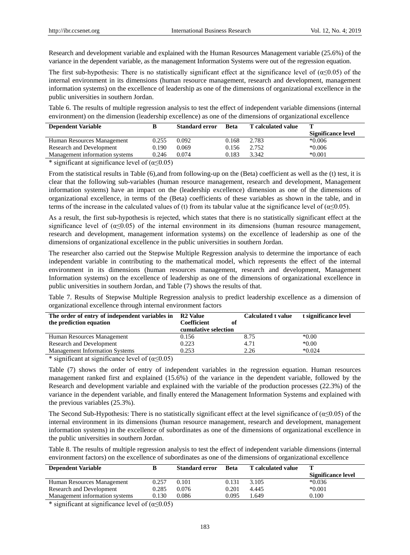Research and development variable and explained with the Human Resources Management variable (25.6%) of the variance in the dependent variable, as the management Information Systems were out of the regression equation.

The first sub-hypothesis: There is no statistically significant effect at the significance level of  $(\alpha \le 0.05)$  of the internal environment in its dimensions (human resource management, research and development, management information systems) on the excellence of leadership as one of the dimensions of organizational excellence in the public universities in southern Jordan.

Table 6. The results of multiple regression analysis to test the effect of independent variable dimensions (internal environment) on the dimension (leadership excellence) as one of the dimensions of organizational excellence

| <b>Dependent Variable</b>      |       | <b>Standard error</b> | <b>Beta</b> | <b>T</b> calculated value | т                  |
|--------------------------------|-------|-----------------------|-------------|---------------------------|--------------------|
|                                |       |                       |             |                           | Significance level |
| Human Resources Management     | 0.255 | 0.092                 | 0.168       | 2.783                     | $*0.006$           |
| Research and Development       | 0.190 | 0.069                 | 0.156       | 2.752                     | $*0.006$           |
| Management information systems | 0.246 | 0.074                 | 0.183       | 3.342                     | $*0.001$           |

\* significant at significance level of  $(\alpha \le 0.05)$ 

From the statistical results in Table (6),and from following-up on the (Beta) coefficient as well as the (t) test, it is clear that the following sub-variables (human resource management, research and development, Management information systems) have an impact on the (leadership excellence) dimension as one of the dimensions of organizational excellence, in terms of the (Beta) coefficients of these variables as shown in the table, and in terms of the increase in the calculated values of (t) from its tabular value at the significance level of ( $\alpha \le 0.05$ ).

As a result, the first sub-hypothesis is rejected, which states that there is no statistically significant effect at the significance level of ( $\alpha \leq 0.05$ ) of the internal environment in its dimensions (human resource management, research and development, management information systems) on the excellence of leadership as one of the dimensions of organizational excellence in the public universities in southern Jordan.

The researcher also carried out the Stepwise Multiple Regression analysis to determine the importance of each independent variable in contributing to the mathematical model, which represents the effect of the internal environment in its dimensions (human resources management, research and development, Management Information systems) on the excellence of leadership as one of the dimensions of organizational excellence in public universities in southern Jordan, and Table (7) shows the results of that.

Table 7. Results of Stepwise Multiple Regression analysis to predict leadership excellence as a dimension of organizational excellence through internal environment factors

| The order of entry of independent variables in<br>the prediction equation | <b>R2 Value</b><br>Coefficient<br>оf<br>cumulative selection | <b>Calculated t value</b> | t significance level |
|---------------------------------------------------------------------------|--------------------------------------------------------------|---------------------------|----------------------|
| Human Resources Management                                                | 0.156                                                        | 8.75                      | $*0.00$              |
| Research and Development                                                  | 0.223                                                        | 4.71                      | $*0.00$              |
| <b>Management Information Systems</b>                                     | 0.253                                                        | 2.26                      | $*0.024$             |

\* significant at significance level of  $(\alpha \le 0.05)$ 

Table (7) shows the order of entry of independent variables in the regression equation. Human resources management ranked first and explained (15.6%) of the variance in the dependent variable, followed by the Research and development variable and explained with the variable of the production processes (22.3%) of the variance in the dependent variable, and finally entered the Management Information Systems and explained with the previous variables (25.3%).

The Second Sub-Hypothesis: There is no statistically significant effect at the level significance of ( $\alpha \le 0.05$ ) of the internal environment in its dimensions (human resource management, research and development, management information systems) in the excellence of subordinates as one of the dimensions of organizational excellence in the public universities in southern Jordan.

Table 8. The results of multiple regression analysis to test the effect of independent variable dimensions (internal environment factors) on the excellence of subordinates as one of the dimensions of organizational excellence

| <b>Dependent Variable</b>      |       | <b>Standard error</b> | <b>Beta</b> | <b>T</b> calculated value |                    |
|--------------------------------|-------|-----------------------|-------------|---------------------------|--------------------|
|                                |       |                       |             |                           | Significance level |
| Human Resources Management     | 0.257 | 0.101                 | 0.131       | 3.105                     | $*0.036$           |
| Research and Development       | 0.285 | 0.076                 | 0.201       | 4.445                     | $*0.001$           |
| Management information systems | 0.130 | 0.086                 | 0.095       | .649                      | 0.100              |
|                                |       |                       |             |                           |                    |

\* significant at significance level of  $(\alpha \le 0.05)$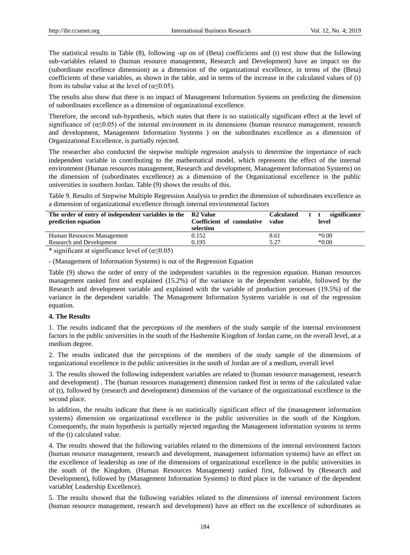The statistical results in Table (8), following -up on of (Beta) coefficients and (t) test show that the following sub-variables related to (human resource management, Research and Development) have an impact on the (subordinate excellence dimension) as a dimension of the organizational excellence, in terms of the (Beta) coefficients of these variables, as shown in the table, and in terms of the increase in the calculated values of (t) from its tabular value at the level of  $(\alpha \le 0.05)$ .

The results also show that there is no impact of Management Information Systems on predicting the dimension of subordinates excellence as a dimension of organizational excellence.

Therefore, the second sub-hypothesis, which states that there is no statistically significant effect at the level of significance of  $(\alpha \le 0.05)$  of the internal environment in its dimensions (human resource management, research and development, Management Information Systems ) on the subordinates excellence as a dimension of Organizational Excellence, is partially rejected.

The researcher also conducted the stepwise multiple regression analysis to determine the importance of each independent variable in contributing to the mathematical model, which represents the effect of the internal environment (Human resources management, Research and development, Management Information Systems) on the dimension of (subordinates excellence) as a dimension of the Organizational excellence in the public universities in southern Jordan. Table (9) shows the results of this.

Table 9. Results of Stepwise Multiple Regression Analysis to predict the dimension of subordinates excellence as a dimension of organizational excellence through internal environmental factors

| The order of entry of independent variables in the R2 Value<br>prediction equation | Coefficient of cumulative<br>selection | <b>Calculated</b><br>value | significance<br>t t<br>level |
|------------------------------------------------------------------------------------|----------------------------------------|----------------------------|------------------------------|
| Human Resources Management                                                         | 0.152                                  | 8.61                       | $*0.00$                      |
| Research and Development                                                           | 0.195                                  | 5.27                       | $*0.00$                      |
| .                                                                                  |                                        |                            |                              |

\* significant at significance level of  $(\alpha \le 0.05)$ 

- (Management of Information Systems) is out of the Regression Equation

Table (9) shows the order of entry of the independent variables in the regression equation. Human resources management ranked first and explained (15.2%) of the variance in the dependent variable, followed by the Research and development variable and explained with the variable of production processes (19.5%) of the variance in the dependent variable. The Management Information Systems variable is out of the regression equation.

## **4. The Results**

1. The results indicated that the perceptions of the members of the study sample of the internal environment factors in the public universities in the south of the Hashemite Kingdom of Jordan came, on the overall level, at a medium degree.

2. The results indicated that the perceptions of the members of the study sample of the dimensions of organizational excellence in the public universities in the south of Jordan are of a medium, overall level

3. The results showed the following independent variables are related to (human resource management, research and development) . The (human resources management) dimension ranked first in terms of the calculated value of (t), followed by (research and development) dimension of the variance of the organizational excellence in the second place.

In addition, the results indicate that there is no statistically significant effect of the (management information systems) dimension on organizational excellence in the public universities in the south of the Kingdom. Consequently, the main hypothesis is partially rejected regarding the Management information systems in terms of the (t) calculated value.

4. The results showed that the following variables related to the dimensions of the internal environment factors (human resource management, research and development, management information systems) have an effect on the excellence of leadership as one of the dimensions of organizational excellence in the public universities in the south of the Kingdom. (Human Resources Management) ranked first, followed by (Research and Development), followed by (Management Information Systems) in third place in the variance of the dependent variable( Leadership Excellence).

5. The results showed that the following variables related to the dimensions of internal environment factors (human resource management, research and development) have an effect on the excellence of subordinates as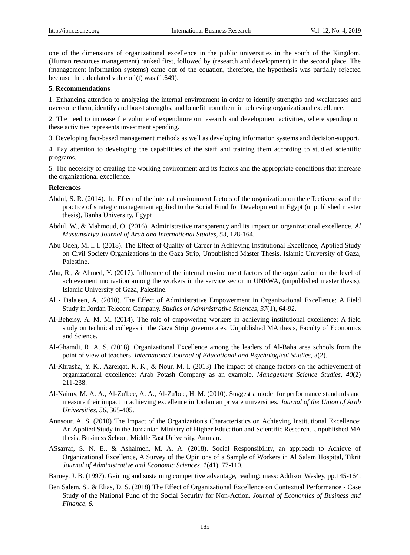one of the dimensions of organizational excellence in the public universities in the south of the Kingdom. (Human resources management) ranked first, followed by (research and development) in the second place. The (management information systems) came out of the equation, therefore, the hypothesis was partially rejected because the calculated value of (t) was (1.649).

#### **5. Recommendations**

1. Enhancing attention to analyzing the internal environment in order to identify strengths and weaknesses and overcome them, identify and boost strengths, and benefit from them in achieving organizational excellence.

2. The need to increase the volume of expenditure on research and development activities, where spending on these activities represents investment spending.

3. Developing fact-based management methods as well as developing information systems and decision-support.

4. Pay attention to developing the capabilities of the staff and training them according to studied scientific programs.

5. The necessity of creating the working environment and its factors and the appropriate conditions that increase the organizational excellence.

#### **References**

- Abdul, S. R. (2014). the Effect of the internal environment factors of the organization on the effectiveness of the practice of strategic management applied to the Social Fund for Development in Egypt (unpublished master thesis), Banha University, Egypt
- Abdul, W., & Mahmoud, O. (2016). Administrative transparency and its impact on organizational excellence. *Al Mustansiriya Journal of Arab and International Studies, 53,* 128-164.
- Abu Odeh, M. I. I. (2018). The Effect of Quality of Career in Achieving Institutional Excellence, Applied Study on Civil Society Organizations in the Gaza Strip, Unpublished Master Thesis, Islamic University of Gaza, Palestine.
- Abu, R., & Ahmed, Y. (2017). Influence of the internal environment factors of the organization on the level of achievement motivation among the workers in the service sector in UNRWA, (unpublished master thesis), Islamic University of Gaza, Palestine.
- Al Dala'een, A. (2010). The Effect of Administrative Empowerment in Organizational Excellence: A Field Study in Jordan Telecom Company. *Studies of Administrative Sciences, 37*(1), 64-92.
- Al-Beheisy, A. M. M. (2014). The role of empowering workers in achieving institutional excellence: A field study on technical colleges in the Gaza Strip governorates. Unpublished MA thesis, Faculty of Economics and Science.
- Al-Ghamdi, R. A. S. (2018). Organizational Excellence among the leaders of Al-Baha area schools from the point of view of teachers. *International Journal of Educational and Psychological Studies, 3*(2).
- Al-Khrasha, Y. K., Azreiqat, K. K., & Nour, M. I. (2013) The impact of change factors on the achievement of organizational excellence: Arab Potash Company as an example. *Management Science Studies, 40*(2) 211-238.
- Al-Naimy, M. A. A., Al-Zu'bee, A. A., Al-Zu'bee, H. M. (2010). Suggest a model for performance standards and measure their impact in achieving excellence in Jordanian private universities. *Journal of the Union of Arab Universities, 56,* 365-405.
- Annsour, A. S. (2010) The Impact of the Organization's Characteristics on Achieving Institutional Excellence: An Applied Study in the Jordanian Ministry of Higher Education and Scientific Research. Unpublished MA thesis, Business School, Middle East University, Amman.
- ASsarraf, S. N. E., & Ashalmeh, M. A. A. (2018). Social Responsibility, an approach to Achieve of Organizational Excellence, A Survey of the Opinions of a Sample of Workers in Al Salam Hospital, Tikrit *Journal of Administrative and Economic Sciences, 1*(41), 77-110.
- Barney, J. B. (1997). Gaining and sustaining competitive advantage, reading: mass: Addison Wesley, pp.145-164.
- Ben Salem, S., & Elias, D. S. (2018) The Effect of Organizational Excellence on Contextual Performance Case Study of the National Fund of the Social Security for Non-Action. *Journal of Economics of Business and Finance, 6.*